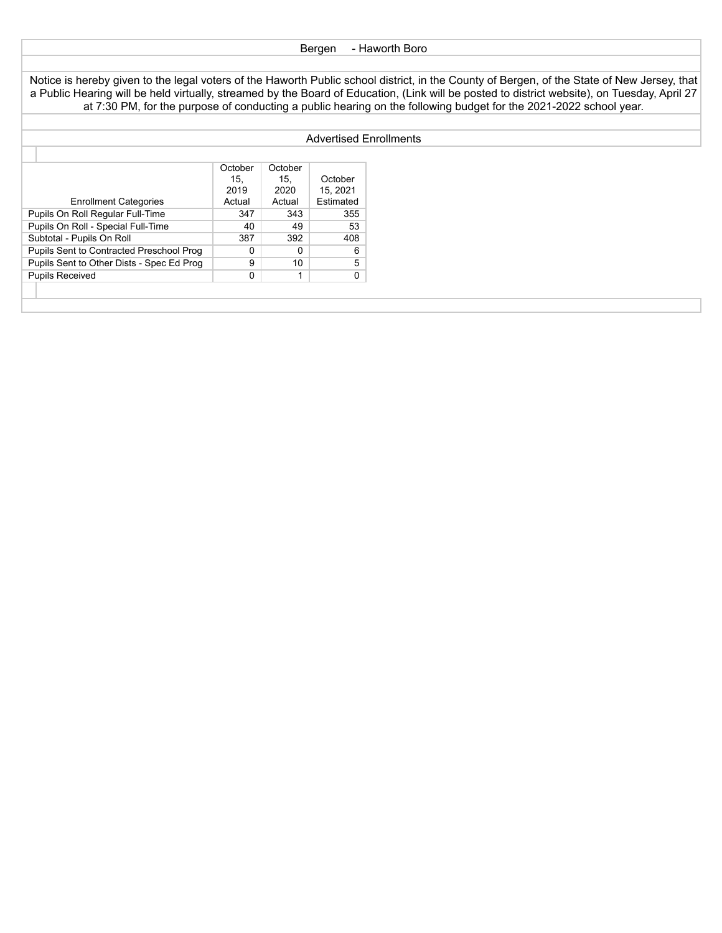## Bergen - Haworth Boro

Notice is hereby given to the legal voters of the Haworth Public school district, in the County of Bergen, of the State of New Jersey, that a Public Hearing will be held virtually, streamed by the Board of Education, (Link will be posted to district website), on Tuesday, April 27 at 7:30 PM, for the purpose of conducting a public hearing on the following budget for the 2021-2022 school year.

## Advertised Enrollments

|                                           | October | October |           |
|-------------------------------------------|---------|---------|-----------|
|                                           | 15.     | 15.     | October   |
|                                           | 2019    | 2020    | 15, 2021  |
| <b>Enrollment Categories</b>              | Actual  | Actual  | Estimated |
| Pupils On Roll Regular Full-Time          | 347     | 343     | 355       |
| Pupils On Roll - Special Full-Time        | 40      | 49      | 53        |
| Subtotal - Pupils On Roll                 | 387     | 392     | 408       |
| Pupils Sent to Contracted Preschool Prog  | 0       | 0       | 6         |
| Pupils Sent to Other Dists - Spec Ed Prog | 9       | 10      | 5         |
| <b>Pupils Received</b>                    | 0       |         | 0         |
|                                           |         |         |           |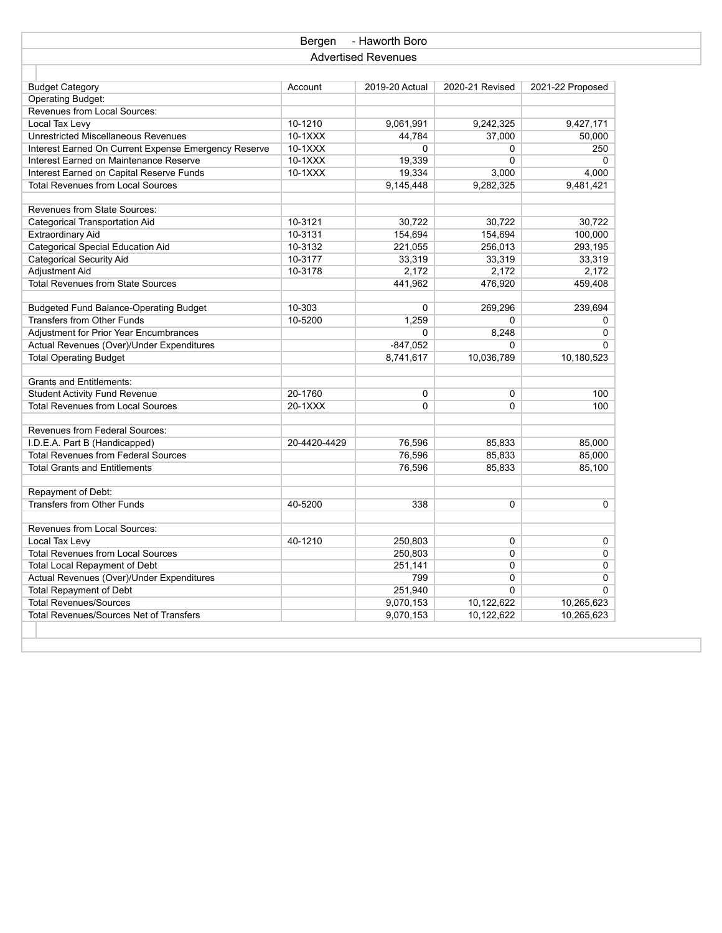|                                                      | Bergen       | - Haworth Boro             |                 |                  |  |
|------------------------------------------------------|--------------|----------------------------|-----------------|------------------|--|
|                                                      |              | <b>Advertised Revenues</b> |                 |                  |  |
|                                                      |              |                            |                 |                  |  |
| <b>Budget Category</b>                               | Account      | 2019-20 Actual             | 2020-21 Revised | 2021-22 Proposed |  |
| <b>Operating Budget:</b>                             |              |                            |                 |                  |  |
| Revenues from Local Sources:                         |              |                            |                 |                  |  |
| Local Tax Levy                                       | 10-1210      | 9,061,991                  | 9,242,325       | 9,427,171        |  |
| <b>Unrestricted Miscellaneous Revenues</b>           | $10-1XXX$    | 44,784                     | 37,000          | 50,000           |  |
| Interest Earned On Current Expense Emergency Reserve | 10-1XXX      | 0                          | 0               | 250              |  |
| Interest Earned on Maintenance Reserve               | $10-1XXX$    | 19,339                     | 0               | $\Omega$         |  |
| Interest Earned on Capital Reserve Funds             | 10-1XXX      | 19,334                     | 3,000           | 4,000            |  |
| <b>Total Revenues from Local Sources</b>             |              | 9,145,448                  | 9,282,325       | 9,481,421        |  |
|                                                      |              |                            |                 |                  |  |
| Revenues from State Sources:                         |              |                            |                 |                  |  |
| <b>Categorical Transportation Aid</b>                | 10-3121      | 30,722                     | 30,722          | 30,722           |  |
| <b>Extraordinary Aid</b>                             | 10-3131      | 154,694                    | 154,694         | 100,000          |  |
| <b>Categorical Special Education Aid</b>             | 10-3132      | 221,055                    | 256,013         | 293,195          |  |
| <b>Categorical Security Aid</b>                      | 10-3177      | 33,319                     | 33,319          | 33,319           |  |
| Adjustment Aid                                       | 10-3178      | 2,172                      | 2,172           | 2,172            |  |
| <b>Total Revenues from State Sources</b>             |              | 441,962                    | 476,920         | 459,408          |  |
|                                                      |              |                            |                 |                  |  |
| <b>Budgeted Fund Balance-Operating Budget</b>        | 10-303       | 0                          | 269,296         | 239,694          |  |
| <b>Transfers from Other Funds</b>                    | 10-5200      | 1,259                      | 0               | 0                |  |
| Adjustment for Prior Year Encumbrances               |              | $\Omega$                   | 8,248           | 0<br>$\Omega$    |  |
| Actual Revenues (Over)/Under Expenditures            |              | $-847,052$                 | 0               |                  |  |
| <b>Total Operating Budget</b>                        |              | 8,741,617                  | 10,036,789      | 10,180,523       |  |
| <b>Grants and Entitlements:</b>                      |              |                            |                 |                  |  |
| <b>Student Activity Fund Revenue</b>                 | 20-1760      | $\mathbf 0$                | 0               | 100              |  |
| <b>Total Revenues from Local Sources</b>             | 20-1XXX      | $\Omega$                   | 0               | 100              |  |
|                                                      |              |                            |                 |                  |  |
| Revenues from Federal Sources:                       |              |                            |                 |                  |  |
| I.D.E.A. Part B (Handicapped)                        | 20-4420-4429 | 76,596                     | 85,833          | 85,000           |  |
| <b>Total Revenues from Federal Sources</b>           |              | 76,596                     | 85,833          | 85,000           |  |
| <b>Total Grants and Entitlements</b>                 |              | 76,596                     | 85,833          | 85,100           |  |
|                                                      |              |                            |                 |                  |  |
| Repayment of Debt:                                   |              |                            |                 |                  |  |
| <b>Transfers from Other Funds</b>                    | 40-5200      | 338                        | 0               | 0                |  |
|                                                      |              |                            |                 |                  |  |
| Revenues from Local Sources:                         |              |                            |                 |                  |  |
| Local Tax Levy                                       | 40-1210      | 250,803                    | 0               | 0                |  |
| <b>Total Revenues from Local Sources</b>             |              | 250,803                    | 0               | 0                |  |
| <b>Total Local Repayment of Debt</b>                 |              | 251,141                    | 0               | 0                |  |
| Actual Revenues (Over)/Under Expenditures            |              | 799                        | 0               | 0                |  |
| <b>Total Repayment of Debt</b>                       |              | 251,940                    | $\overline{0}$  | $\overline{0}$   |  |
| <b>Total Revenues/Sources</b>                        |              | 9,070,153                  | 10,122,622      | 10,265,623       |  |
| <b>Total Revenues/Sources Net of Transfers</b>       |              | 9,070,153                  | 10,122,622      | 10,265,623       |  |
|                                                      |              |                            |                 |                  |  |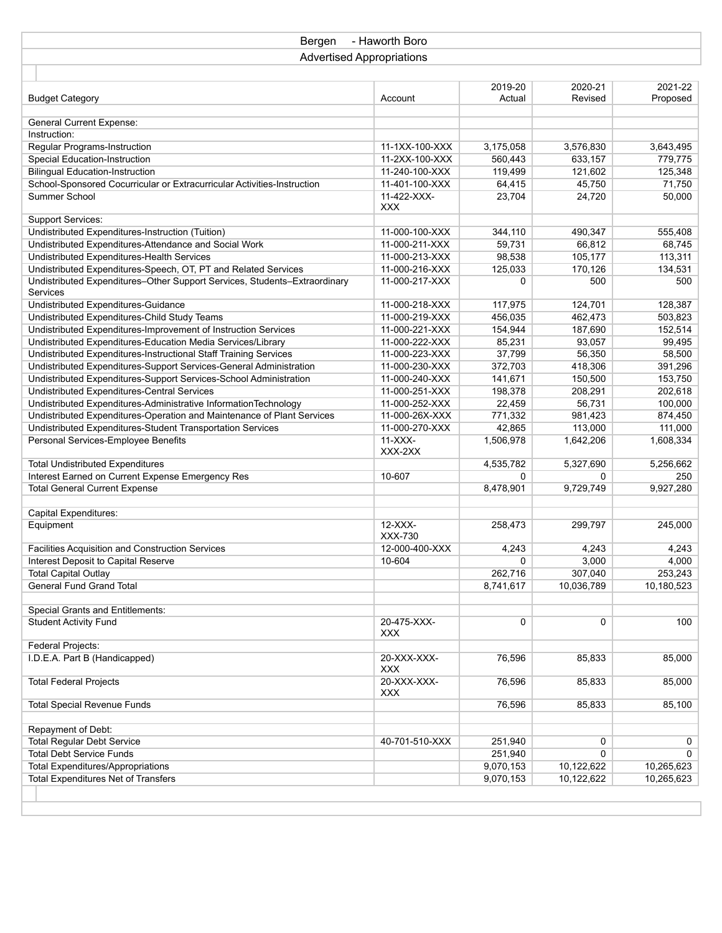| Bergen                                                                                                                                    | - Haworth Boro                   |                   |                    |                    |
|-------------------------------------------------------------------------------------------------------------------------------------------|----------------------------------|-------------------|--------------------|--------------------|
| <b>Advertised Appropriations</b>                                                                                                          |                                  |                   |                    |                    |
|                                                                                                                                           |                                  |                   |                    |                    |
|                                                                                                                                           |                                  | 2019-20           | 2020-21            | 2021-22            |
| <b>Budget Category</b>                                                                                                                    | Account                          | Actual            | Revised            | Proposed           |
|                                                                                                                                           |                                  |                   |                    |                    |
| <b>General Current Expense:</b>                                                                                                           |                                  |                   |                    |                    |
| Instruction:                                                                                                                              |                                  |                   |                    |                    |
| Regular Programs-Instruction                                                                                                              | 11-1XX-100-XXX                   | 3,175,058         | 3,576,830          | 3,643,495          |
| <b>Special Education-Instruction</b>                                                                                                      | 11-2XX-100-XXX                   | 560,443           | 633,157            | 779,775            |
| <b>Bilingual Education-Instruction</b>                                                                                                    | 11-240-100-XXX                   | 119,499           | 121,602            | 125,348            |
| School-Sponsored Cocurricular or Extracurricular Activities-Instruction                                                                   | 11-401-100-XXX                   | 64,415            | 45,750             | 71,750             |
| Summer School                                                                                                                             | 11-422-XXX-                      | 23,704            | 24,720             | 50,000             |
|                                                                                                                                           | <b>XXX</b>                       |                   |                    |                    |
| <b>Support Services:</b>                                                                                                                  |                                  |                   |                    |                    |
| Undistributed Expenditures-Instruction (Tuition)                                                                                          | 11-000-100-XXX                   | 344,110           | 490,347            | 555,408            |
| Undistributed Expenditures-Attendance and Social Work                                                                                     | 11-000-211-XXX                   | 59,731            | 66,812             | 68,745             |
| Undistributed Expenditures-Health Services                                                                                                | 11-000-213-XXX                   | 98,538            | 105,177            | 113,311            |
| Undistributed Expenditures-Speech, OT, PT and Related Services                                                                            | 11-000-216-XXX                   | 125,033           | 170,126            | 134,531            |
| Undistributed Expenditures-Other Support Services, Students-Extraordinary                                                                 | 11-000-217-XXX                   | $\Omega$          | 500                | 500                |
| Services                                                                                                                                  |                                  |                   |                    |                    |
| Undistributed Expenditures-Guidance                                                                                                       | 11-000-218-XXX                   | 117,975           | 124,701            | 128,387            |
| Undistributed Expenditures-Child Study Teams                                                                                              | 11-000-219-XXX                   | 456,035           | 462,473            | 503,823            |
| Undistributed Expenditures-Improvement of Instruction Services                                                                            | 11-000-221-XXX                   | 154,944           | 187,690            | 152,514            |
| Undistributed Expenditures-Education Media Services/Library                                                                               | 11-000-222-XXX                   | 85,231            | 93,057             | 99,495             |
| Undistributed Expenditures-Instructional Staff Training Services                                                                          | 11-000-223-XXX<br>11-000-230-XXX | 37,799<br>372,703 | 56,350             | 58,500             |
| Undistributed Expenditures-Support Services-General Administration                                                                        | 11-000-240-XXX                   |                   | 418,306            | 391,296            |
| Undistributed Expenditures-Support Services-School Administration                                                                         | 11-000-251-XXX                   | 141,671           | 150,500<br>208,291 | 153,750            |
| Undistributed Expenditures-Central Services                                                                                               |                                  | 198,378           |                    | 202,618<br>100,000 |
| Undistributed Expenditures-Administrative InformationTechnology<br>Undistributed Expenditures-Operation and Maintenance of Plant Services | 11-000-252-XXX<br>11-000-26X-XXX | 22,459<br>771,332 | 56,731<br>981,423  | 874,450            |
| Undistributed Expenditures-Student Transportation Services                                                                                | 11-000-270-XXX                   | 42,865            | 113,000            | 111,000            |
| Personal Services-Employee Benefits                                                                                                       | $11-XXX-$                        | 1,506,978         | 1,642,206          | 1,608,334          |
|                                                                                                                                           | XXX-2XX                          |                   |                    |                    |
| <b>Total Undistributed Expenditures</b>                                                                                                   |                                  | 4,535,782         | 5,327,690          | 5,256,662          |
| Interest Earned on Current Expense Emergency Res                                                                                          | 10-607                           | $\Omega$          | 0                  | 250                |
| <b>Total General Current Expense</b>                                                                                                      |                                  | 8,478,901         | 9,729,749          | 9,927,280          |
|                                                                                                                                           |                                  |                   |                    |                    |
| Capital Expenditures:                                                                                                                     |                                  |                   |                    |                    |
| Equipment                                                                                                                                 | $12-XXX-$                        | 258,473           | 299,797            | 245,000            |
|                                                                                                                                           | XXX-730                          |                   |                    |                    |
| Facilities Acquisition and Construction Services                                                                                          | 12-000-400-XXX                   | 4,243             | 4,243              | 4,243              |
| Interest Deposit to Capital Reserve                                                                                                       | 10-604                           | 0                 | 3,000              | 4,000              |
| Total Capital Outlay                                                                                                                      |                                  | 262,716           | 307,040            | 253,243            |
| <b>General Fund Grand Total</b>                                                                                                           |                                  | 8,741,617         | 10,036,789         | 10,180,523         |
|                                                                                                                                           |                                  |                   |                    |                    |
| Special Grants and Entitlements:                                                                                                          |                                  |                   |                    |                    |
| <b>Student Activity Fund</b>                                                                                                              | 20-475-XXX-                      | 0                 | 0                  | 100                |
|                                                                                                                                           | XXX                              |                   |                    |                    |
| Federal Projects:                                                                                                                         | 20-XXX-XXX-                      |                   |                    |                    |
| I.D.E.A. Part B (Handicapped)                                                                                                             | <b>XXX</b>                       | 76,596            | 85,833             | 85,000             |
| <b>Total Federal Projects</b>                                                                                                             | 20-XXX-XXX-                      | 76,596            | 85,833             | 85,000             |
|                                                                                                                                           | <b>XXX</b>                       |                   |                    |                    |
| <b>Total Special Revenue Funds</b>                                                                                                        |                                  | 76,596            | 85,833             | 85,100             |
|                                                                                                                                           |                                  |                   |                    |                    |
| Repayment of Debt:                                                                                                                        |                                  |                   |                    |                    |
| <b>Total Regular Debt Service</b>                                                                                                         | 40-701-510-XXX                   | 251,940           | 0                  | 0                  |
| <b>Total Debt Service Funds</b>                                                                                                           |                                  | 251,940           | 0                  | 0                  |
| <b>Total Expenditures/Appropriations</b>                                                                                                  |                                  | 9,070,153         | 10,122,622         | 10,265,623         |
| <b>Total Expenditures Net of Transfers</b>                                                                                                |                                  | 9,070,153         | 10,122,622         | 10,265,623         |
|                                                                                                                                           |                                  |                   |                    |                    |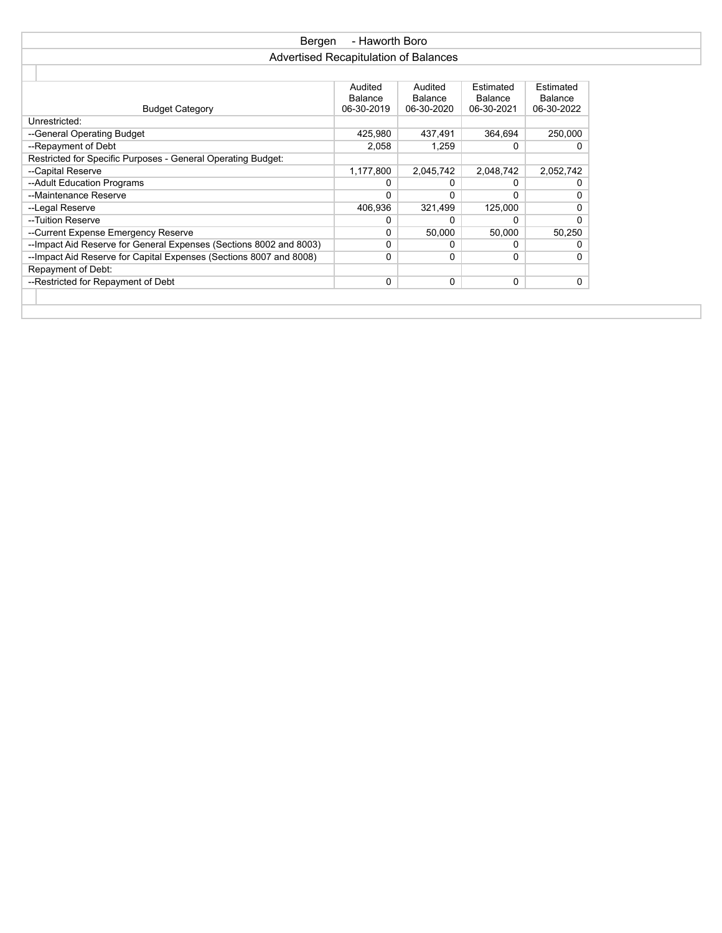| Bergen                                                              | - Haworth Boro                        |            |            |            |
|---------------------------------------------------------------------|---------------------------------------|------------|------------|------------|
|                                                                     | Advertised Recapitulation of Balances |            |            |            |
|                                                                     |                                       |            |            |            |
|                                                                     | Audited                               | Audited    | Estimated  | Estimated  |
|                                                                     | Balance                               | Balance    | Balance    | Balance    |
| <b>Budget Category</b>                                              | 06-30-2019                            | 06-30-2020 | 06-30-2021 | 06-30-2022 |
| Unrestricted:                                                       |                                       |            |            |            |
| --General Operating Budget                                          | 425,980                               | 437,491    | 364,694    | 250,000    |
| --Repayment of Debt                                                 | 2,058                                 | 1,259      | 0          |            |
| Restricted for Specific Purposes - General Operating Budget:        |                                       |            |            |            |
| --Capital Reserve                                                   | 1,177,800                             | 2,045,742  | 2,048,742  | 2,052,742  |
| --Adult Education Programs                                          | 0                                     |            | 0          |            |
| --Maintenance Reserve                                               | $\Omega$                              | 0          | 0          |            |
| --Legal Reserve                                                     | 406,936                               | 321,499    | 125,000    |            |
| --Tuition Reserve                                                   | 0                                     |            | 0          |            |
| --Current Expense Emergency Reserve                                 | 0                                     | 50,000     | 50,000     | 50,250     |
| --Impact Aid Reserve for General Expenses (Sections 8002 and 8003)  | 0                                     | 0          | 0          |            |
| -- Impact Aid Reserve for Capital Expenses (Sections 8007 and 8008) | 0                                     | 0          | 0          | U          |
| Repayment of Debt:                                                  |                                       |            |            |            |
| --Restricted for Repayment of Debt                                  | 0                                     | 0          | 0          | 0          |